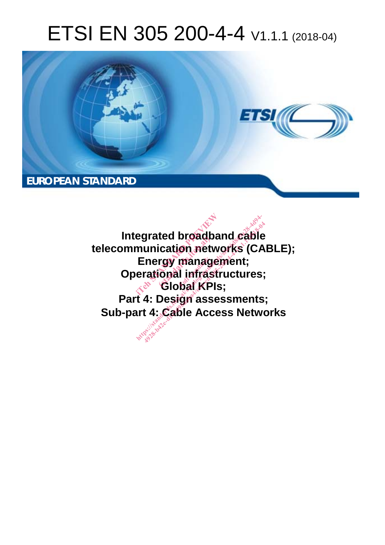# ETSI EN 305 200-4-4 V1.1.1 (2018-04)



**Integrated broadband cable telecommunication networks (CABLE); Energy management; Operational infrastructures; Global KPIs; Part 4: Design assessments; Sub-part 4: Cable Access Networks**  degrated broadband cable<br>
munication networks (CA<br>
Energy management;<br>
erational infrastructures;<br>
ai/cable Access Networks<br>
art 4: Cable Access Netwo (ed broadp<br>
ication net<br>
rgy manage<br>
ional infras<br>
Globat KPI manag<br>I infras<br>bat KP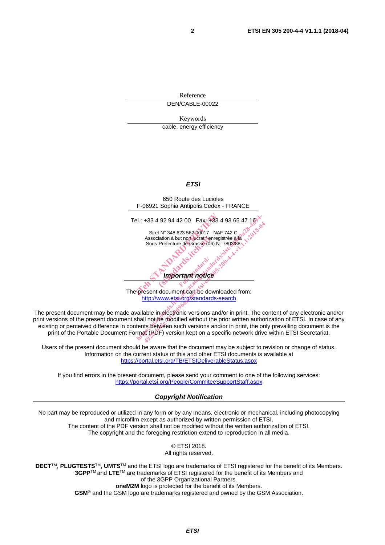Reference DEN/CABLE-00022

Keywords cable, energy efficiency

#### *ETSI*

650 Route des Lucioles F-06921 Sophia Antipolis Cedex - FRANCE Tel.: +33 4 92 94 42 00 Fax: +33 4 93 65 47 16 Siret N° 348 623 562 00017 - NAF 742 C Association à but non lucratif enregistrée à la Sous-Préfecture de Grasse (06) N° 7803/88 *Important notice*  el.: +33 4 92 94 42 00 Fax: +33 4 93<br>
Siret N° 348 623 562 00017 - NAF 742<br>
Association à but non ucratificative<br>
Sous-Préfecture de Grasse (06) N° 7802<br>
Sous-Préfecture de Grasse (06) N° 7802<br>
Sous-Préfecture de Grasse (0 iation à but non lucratif en<br>Préfecture de Grasse (06)<br>**Contracteur de Grasse (06)**<br>**Contracteur de Grasse (06)** rtant notice Bl.: +33 4 92 94 42 00 Fax: +33 4 93 65 47 10<br>
Siret N° 348 623 562 00017 - NAF 742 C<br>
Association à but non lucratif enregistrée à la<br>
Sous-Préfecture de Grasse (06) N° 7803/88<br>
Sous-Préfecture de Grasse (06) N° 7803/88<br> Siret N° 348 623 562 00017 - NAF 742 C<br>Association à but non lucratif enregistrée à la Sous-Préfecture de Grasse (06) N° 7803/88<br>Sous-Préfecture de Grasse (06) N° 7803/88<br>Sous-Préfecture de Grasse (06) N° 7803/88<br>Sous-Préf

The present document can be downloaded from: http://www.etsi.org/standards-search

The present document may be made available in electronic versions and/or in print. The content of any electronic and/or print versions of the present document shall not be modified without the prior written authorization of ETSI. In case of any existing or perceived difference in contents between such versions and/or in print, the only prevailing document is the print of the Portable Document Format (PDF) version kept on a specific network drive within ETSI Secretariat.

Users of the present document should be aware that the document may be subject to revision or change of status. Information on the current status of this and other ETSI documents is available at https://portal.etsi.org/TB/ETSIDeliverableStatus.aspx

If you find errors in the present document, please send your comment to one of the following services: https://portal.etsi.org/People/CommiteeSupportStaff.aspx

#### *Copyright Notification*

No part may be reproduced or utilized in any form or by any means, electronic or mechanical, including photocopying and microfilm except as authorized by written permission of ETSI. The content of the PDF version shall not be modified without the written authorization of ETSI. The copyright and the foregoing restriction extend to reproduction in all media.

> © ETSI 2018. All rights reserved.

**DECT**TM, **PLUGTESTS**TM, **UMTS**TM and the ETSI logo are trademarks of ETSI registered for the benefit of its Members. **3GPP**TM and **LTE**TM are trademarks of ETSI registered for the benefit of its Members and of the 3GPP Organizational Partners. **oneM2M** logo is protected for the benefit of its Members.

**GSM**® and the GSM logo are trademarks registered and owned by the GSM Association.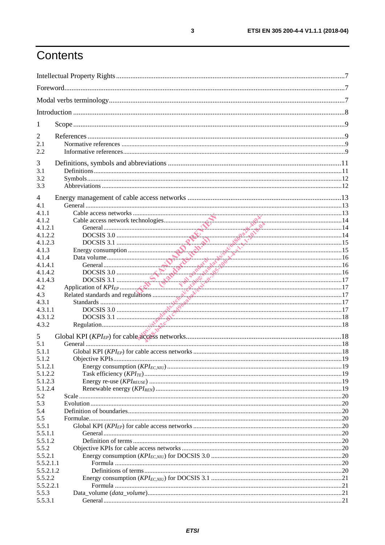# Contents

| 1          |  |  |  |  |
|------------|--|--|--|--|
| 2          |  |  |  |  |
| 2.1        |  |  |  |  |
| 2.2        |  |  |  |  |
| 3          |  |  |  |  |
| 3.1        |  |  |  |  |
| 3.2        |  |  |  |  |
| 3.3        |  |  |  |  |
| 4          |  |  |  |  |
| 4.1        |  |  |  |  |
| 4.1.1      |  |  |  |  |
| 4.1.2      |  |  |  |  |
| 4.1.2.1    |  |  |  |  |
| 4.1.2.2    |  |  |  |  |
| 4.1.2.3    |  |  |  |  |
| 4.1.3      |  |  |  |  |
| 4.1.4      |  |  |  |  |
| 4.1.4.1    |  |  |  |  |
| 4.1.4.2    |  |  |  |  |
| 4.1.4.3    |  |  |  |  |
| 4.2        |  |  |  |  |
| 4.3        |  |  |  |  |
| 4.3.1      |  |  |  |  |
| 4.3.1.1    |  |  |  |  |
| 4.3.1.2    |  |  |  |  |
| 4.3.2      |  |  |  |  |
| 5          |  |  |  |  |
| 5.1        |  |  |  |  |
| 5.1.1      |  |  |  |  |
| 5.1.2      |  |  |  |  |
| 5.1.2.1    |  |  |  |  |
| 5.1.2.2    |  |  |  |  |
| 5.1.2.3    |  |  |  |  |
| 5.1.2.4    |  |  |  |  |
| 5.2        |  |  |  |  |
| 5.3<br>5.4 |  |  |  |  |
| 5.5        |  |  |  |  |
| 5.5.1      |  |  |  |  |
| 5.5.1.1    |  |  |  |  |
| 5.5.1.2    |  |  |  |  |
| 5.5.2      |  |  |  |  |
| 5.5.2.1    |  |  |  |  |
| 5.5.2.1.1  |  |  |  |  |
| 5.5.2.1.2  |  |  |  |  |
| 5.5.2.2    |  |  |  |  |
| 5.5.2.2.1  |  |  |  |  |
| 5.5.3      |  |  |  |  |
| 5.5.3.1    |  |  |  |  |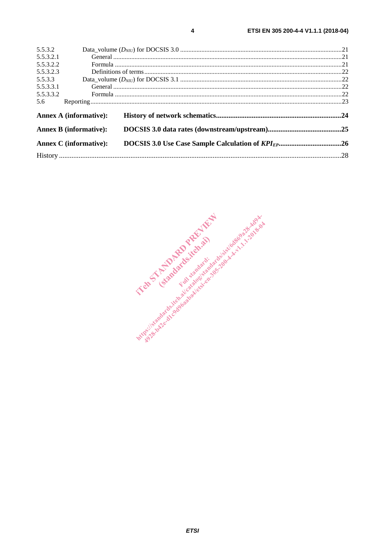| 5.5.3.2                                                        |                               |  |  |
|----------------------------------------------------------------|-------------------------------|--|--|
| 5.5.3.2.1                                                      |                               |  |  |
| 5.5.3.2.2                                                      |                               |  |  |
| 5.5.3.2.3                                                      |                               |  |  |
| 5.5.3.3                                                        |                               |  |  |
| 5.5.3.3.1                                                      |                               |  |  |
| 5.5.3.3.2                                                      |                               |  |  |
| 5.6                                                            |                               |  |  |
|                                                                | <b>Annex A (informative):</b> |  |  |
| <b>Annex B (informative):</b><br><b>Annex C</b> (informative): |                               |  |  |
|                                                                |                               |  |  |
|                                                                |                               |  |  |

 $\overline{\mathbf{4}}$ 

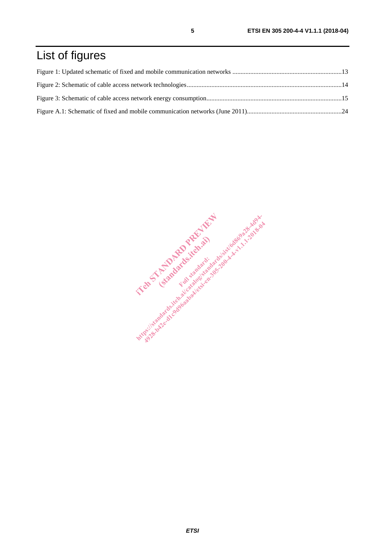# List of figures

IT and the third started and started in the started in the started in the started in the started in the started in the started in the started in the started in the started in the started in the started in the started in th Examples Religions https://standards.iteh.ai/catalogisa.html .t. 1.1.2018-44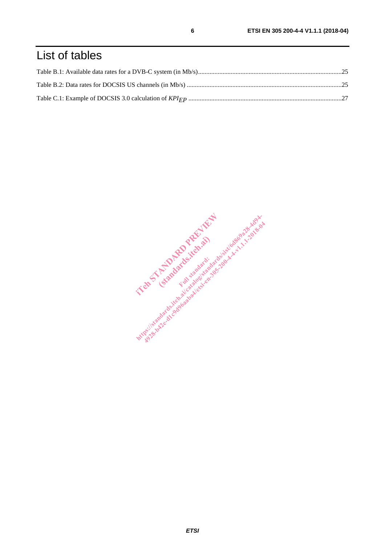# List of tables

IT and the third started and started in the started in the started in the started in the started in the started in the started in the started in the started in the started in the started in the started in the started in th Examples Religions https://standards.iteh.ai/catalogisa.html .t. 1.1.2018-44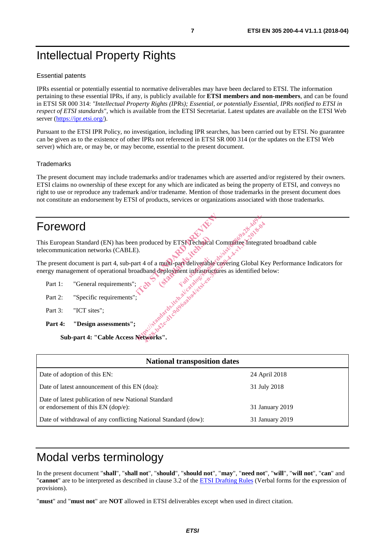# Intellectual Property Rights

#### Essential patents

IPRs essential or potentially essential to normative deliverables may have been declared to ETSI. The information pertaining to these essential IPRs, if any, is publicly available for **ETSI members and non-members**, and can be found in ETSI SR 000 314: *"Intellectual Property Rights (IPRs); Essential, or potentially Essential, IPRs notified to ETSI in respect of ETSI standards"*, which is available from the ETSI Secretariat. Latest updates are available on the ETSI Web server (https://ipr.etsi.org/).

Pursuant to the ETSI IPR Policy, no investigation, including IPR searches, has been carried out by ETSI. No guarantee can be given as to the existence of other IPRs not referenced in ETSI SR 000 314 (or the updates on the ETSI Web server) which are, or may be, or may become, essential to the present document.

#### **Trademarks**

The present document may include trademarks and/or tradenames which are asserted and/or registered by their owners. ETSI claims no ownership of these except for any which are indicated as being the property of ETSI, and conveys no right to use or reproduce any trademark and/or tradename. Mention of those trademarks in the present document does not constitute an endorsement by ETSI of products, services or organizations associated with those trademarks.

## Foreword

This European Standard (EN) has been produced by ETSI Technical Committee Integrated broadband cable telecommunication networks (CABLE). is a multi-part deliverable communications of the contract of the contract of the contract of the contract of the contract of the contract of the contract of the contract of the contract of the contract of the contract of ed by ETSKTechnical ht produced by ETSIVE<br>chaired.itegration committee Thegrands.<br>it 4 of a multi-part deliverable covering Global Ke<br>aadband deployment infrastructures as identified be<br>standard site and develops and the standard site of the

The present document is part 4, sub-part 4 of a multi-part deliverable covering Global Key Performance Indicators for energy management of operational broadband deployment infrastructures as identified below:

- Part 1: "General requirements
- Part 2: "Specific requirements"
- Part 3: "ICT sites";
- **Part 4: "Design assessments";**

**Sub-part 4: "Cable Access Networks".** 

| <b>National transposition dates</b>                                                         |                 |  |  |  |
|---------------------------------------------------------------------------------------------|-----------------|--|--|--|
| Date of adoption of this EN:                                                                | 24 April 2018   |  |  |  |
| Date of latest announcement of this EN (doa):                                               | 31 July 2018    |  |  |  |
| Date of latest publication of new National Standard<br>or endorsement of this $EN$ (dop/e): | 31 January 2019 |  |  |  |
| Date of withdrawal of any conflicting National Standard (dow):                              | 31 January 2019 |  |  |  |

# Modal verbs terminology

In the present document "**shall**", "**shall not**", "**should**", "**should not**", "**may**", "**need not**", "**will**", "**will not**", "**can**" and "**cannot**" are to be interpreted as described in clause 3.2 of the ETSI Drafting Rules (Verbal forms for the expression of provisions).

"**must**" and "**must not**" are **NOT** allowed in ETSI deliverables except when used in direct citation.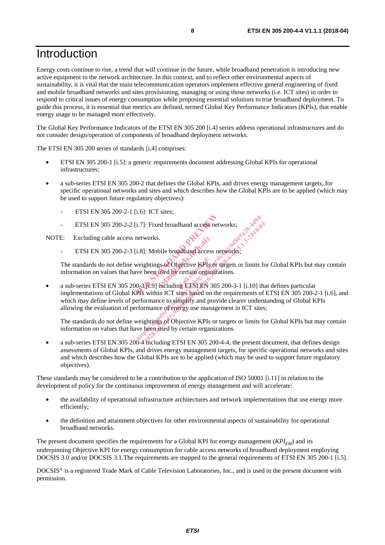### Introduction

Energy costs continue to rise, a trend that will continue in the future, while broadband penetration is introducing new active equipment to the network architecture. In this context, and to reflect other environmental aspects of sustainability, it is vital that the main telecommunication operators implement effective general engineering of fixed and mobile broadband networks and sites provisioning, managing or using those networks (i.e. ICT sites) in order to respond to critical issues of energy consumption while proposing essential solutions to true broadband deployment. To guide this process, it is essential that metrics are defined, termed Global Key Performance Indicators (KPIs), that enable energy usage to be managed more effectively.

The Global Key Performance Indicators of the ETSI EN 305 200 [i.4] series address operational infrastructures and do not consider design/operation of components of broadband deployment networks.

The ETSI EN 305 200 series of standards [i.4] comprises:

- ETSI EN 305 200-1 [i.5]: a generic requirements document addressing Global KPIs for operational infrastructures;
- a sub-series ETSI EN 305 200-2 that defines the Global KPIs, and drives energy management targets, for specific operational networks and sites and which describes how the Global KPIs are to be applied (which may be used to support future regulatory objectives):
	- ETSI EN 305 200-2-1 [i.6]: ICT sites;
	- ETSI EN 305 200-2-2 [i.7]: Fixed broadband access networks;

NOTE: Excluding cable access networks.

ETSI EN 305 200-2-3 [i.8]: Mobile broadband access networks;

The standards do not define weightings of Objective KPIs or targets or limits for Global KPIs but may contain information on values that have been used by certain organizations. bile broadband access<br>gs af Objective KPIs of<br>used by certain organi<br>mcluding ETSI EN 30

a sub-series ETSI EN 305 200-3-1.9] including ETSI EN 305 200-3-1 [i.10] that defines particular implementations of Global KPIs within ICT sites based on the requirements of ETSI EN 305 200-2-1 [i.6], and which may define levels of performance to simplify and provide clearer understanding of Global KPIs allowing the evaluation of performance of energy use management in ICT sites; ETSI EN 305 200-2-2 [i.7]: Fixed broadband access welvow<br>
NOTE: Excluding cable access networks.<br>
ETSI EN 305 200-2-3 [i.8]: Mobile broadband access network<br>
The standards do not define weightings of Objective KePisor (are i.7]: Fixed broadband access networks;<br>networks.<br>i.8]: Mobile breadband access networks;<br>weightings of Objective KPIs or targets or limits for<br>tworks.<br>weightings of Objective KPIs or targets or limits for<br>0.31.9] includin 1: Fixed broadband access networks;<br>works.<br>Works.<br>Things of Objective KPIs or targets or limits for the used by certain organizations.<br>H.9] meluding ETSLEN 305 200-3-1 [i.10] that within ICT sites based on the requirement

The standards do not define weightings of Objective KPIs or targets or limits for Global KPIs but may contain information on values that have been used by certain organizations.

• a sub-series ETSI EN 305 200-4 mcluding ETSI EN 305 200-4-4, the present document, that defines design assessments of Global KPIs, and drives energy management targets, for specific operational networks and sites and which describes how the Global KPIs are to be applied (which may be used to support future regulatory objectives).

These standards may be considered to be a contribution to the application of ISO 50001 [i.11] in relation to the development of policy for the continuous improvement of energy management and will accelerate:

- the availability of operational infrastructure architectures and network implementations that use energy more efficiently;
- the definition and attainment objectives for other environmental aspects of sustainability for operational broadband networks.

The present document specifies the requirements for a Global KPI for energy management  $(KPI<sub>EM</sub>)$  and its underpinning Objective KPI for energy consumption for cable access networks of broadband deployment employing DOCSIS 3.0 and/or DOCSIS 3.1.The requirements are mapped to the general requirements of ETSI EN 305 200-1 [i.5].

DOCSIS® is a registered Trade Mark of Cable Television Laboratories, Inc., and is used in the present document with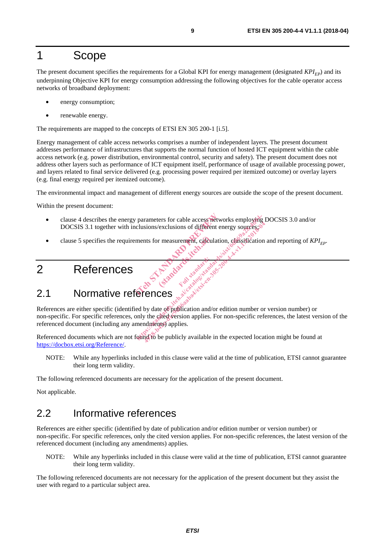## 1 Scope

The present document specifies the requirements for a Global KPI for energy management (designated  $KPI_{FD}$ ) and its underpinning Objective KPI for energy consumption addressing the following objectives for the cable operator access networks of broadband deployment:

- energy consumption;
- renewable energy.

The requirements are mapped to the concepts of ETSI EN 305 200-1 [i.5].

Energy management of cable access networks comprises a number of independent layers. The present document addresses performance of infrastructures that supports the normal function of hosted ICT equipment within the cable access network (e.g. power distribution, environmental control, security and safety). The present document does not address other layers such as performance of ICT equipment itself, performance of usage of available processing power, and layers related to final service delivered (e.g. processing power required per itemized outcome) or overlay layers (e.g. final energy required per itemized outcome).

The environmental impact and management of different energy sources are outside the scope of the present document.

Within the present document:

- clause 4 describes the energy parameters for cable access networks employing DOCSIS 3.0 and/or DOCSIS 3.1 together with inclusions/exclusions of different energy sources; parameters for cable access networks<br>clusions/exclusions of different energy<br>ments for measurement, cadculation, careful<br>ments for measurement, cadculation, careful<br>standard property standard and standard and
- examples. Consideration and reporting of *KPI<sub>EP</sub>.*<br>
References and standards. Consideration and reporting of *KPI<sub>EP</sub>.*<br>
(standards.ite) standards.

## 2 References

# 2.1 Normative references

References are either specific (identified by date of publication and/or edition number or version number) or non-specific. For specific references, only the cited version applies. For non-specific references, the latest version of the referenced document (including any amendments) applies. parameters for cable access networks employing I<br>clusions/exclusions of different energy sources;<br>ments for measurement, calculation, caserification<br>ments for measurement, calculation, caserification<br> $\frac{1}{2}$ <br> $\frac{1}{2}$ <br> $\$ experience of publication and/or edition number or<br>the determined of the publication<br>by date of publication and/or edition number or<br>the determined and also seed the publication<br>of the determine publication and/or edition

Factor Standard

Referenced documents which are not found to be publicly available in the expected location might be found at https://docbox.etsi.org/Reference/.

NOTE: While any hyperlinks included in this clause were valid at the time of publication, ETSI cannot guarantee their long term validity.

The following referenced documents are necessary for the application of the present document.

Not applicable.

### 2.2 Informative references

References are either specific (identified by date of publication and/or edition number or version number) or non-specific. For specific references, only the cited version applies. For non-specific references, the latest version of the referenced document (including any amendments) applies.

NOTE: While any hyperlinks included in this clause were valid at the time of publication, ETSI cannot guarantee their long term validity.

The following referenced documents are not necessary for the application of the present document but they assist the user with regard to a particular subject area.